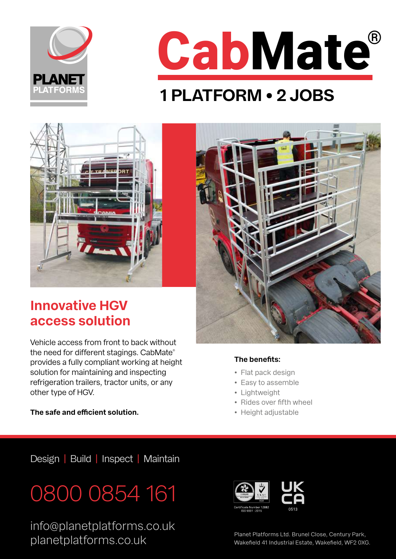



## **1 PLATFORM • 2 JOBS**



### **Innovative HGV access solution**

Vehicle access from front to back without the need for different stagings. CabMate® provides a fully compliant working at height solution for maintaining and inspecting refrigeration trailers, tractor units, or any other type of HGV.

#### **The benefits:**

- Flat pack design
- Easy to assemble
- Lightweight
- Rides over fifth wheel
- Height adjustable

**The safe and efficient solution.** 

Design | Build | Inspect | Maintain

## 0800 0854 161

info@planetplatforms.co.uk planet Platforms Ltd. Brunel Close, Century Park,<br>Makefield 41 Industrial Estate, Wakefield, WF2 0X



Wakefield 41 Industrial Estate, Wakefield, WF2 0XG.